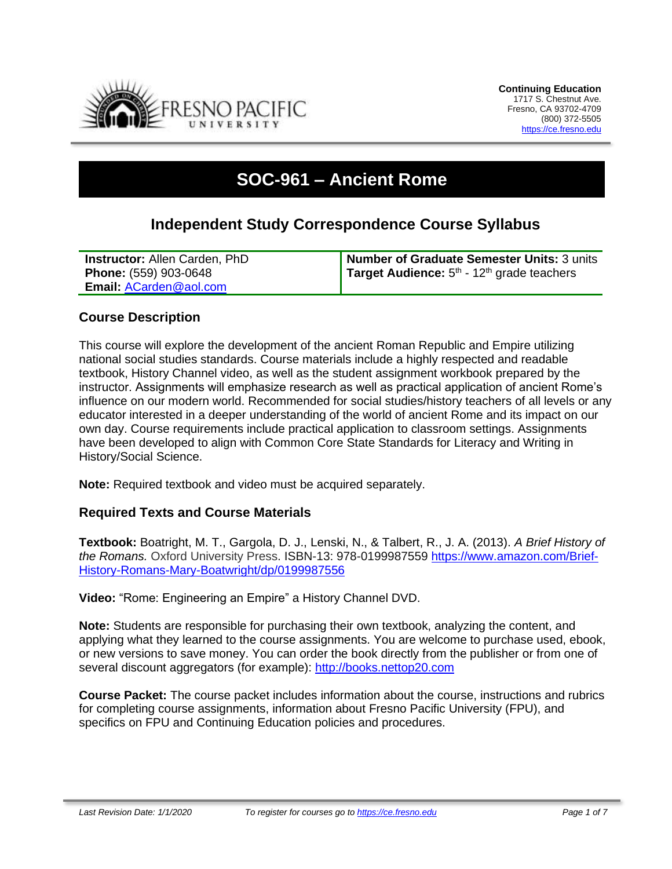

# **SOC-961 – Ancient Rome**

# **Independent Study Correspondence Course Syllabus**

| <b>Instructor: Allen Carden, PhD</b> | Number of Graduate Semester Units: 3 units                      |
|--------------------------------------|-----------------------------------------------------------------|
| <b>Phone:</b> (559) 903-0648         | <b>Target Audience:</b> $5th$ - 12 <sup>th</sup> grade teachers |
| Email: ACarden@aol.com               |                                                                 |

#### **Course Description**

This course will explore the development of the ancient Roman Republic and Empire utilizing national social studies standards. Course materials include a highly respected and readable textbook, History Channel video, as well as the student assignment workbook prepared by the instructor. Assignments will emphasize research as well as practical application of ancient Rome's influence on our modern world. Recommended for social studies/history teachers of all levels or any educator interested in a deeper understanding of the world of ancient Rome and its impact on our own day. Course requirements include practical application to classroom settings. Assignments have been developed to align with Common Core State Standards for Literacy and Writing in History/Social Science.

**Note:** Required textbook and video must be acquired separately.

#### **Required Texts and Course Materials**

**Textbook:** Boatright, M. T., Gargola, D. J., Lenski, N., & Talbert, R., J. A. (2013). *A Brief History of the Romans.* Oxford University Press. ISBN-13: 978-0199987559 [https://www.amazon.com/Brief-](https://www.amazon.com/Brief-History-Romans-Mary-Boatwright/dp/0199987556)[History-Romans-Mary-Boatwright/dp/0199987556](https://www.amazon.com/Brief-History-Romans-Mary-Boatwright/dp/0199987556)

**Video:** "Rome: Engineering an Empire" a History Channel DVD.

**Note:** Students are responsible for purchasing their own textbook, analyzing the content, and applying what they learned to the course assignments. You are welcome to purchase used, ebook, or new versions to save money. You can order the book directly from the publisher or from one of several discount aggregators (for example): [http://books.nettop20.com](http://books.nettop20.com/)

**Course Packet:** The course packet includes information about the course, instructions and rubrics for completing course assignments, information about Fresno Pacific University (FPU), and specifics on FPU and Continuing Education policies and procedures.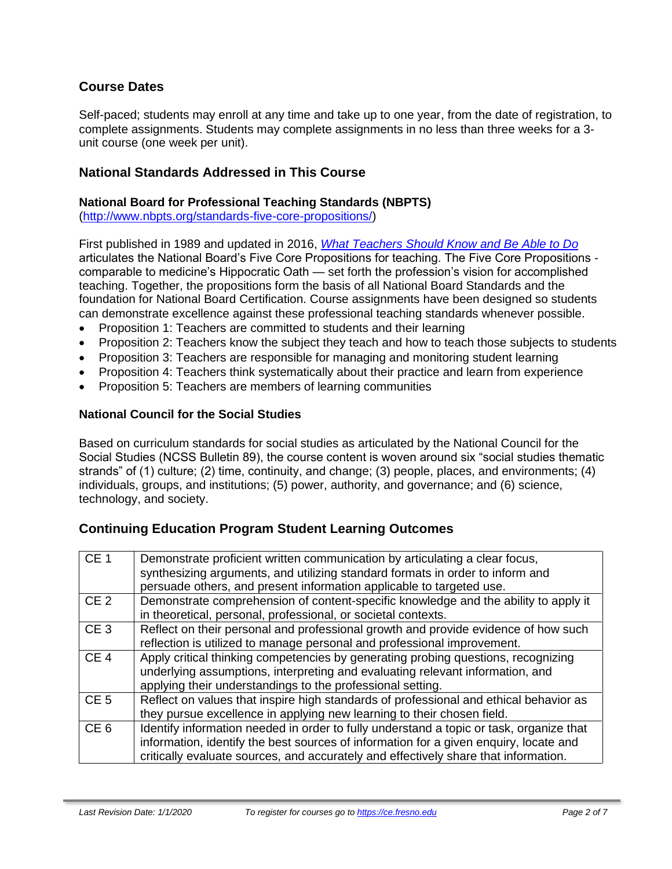# **Course Dates**

Self-paced; students may enroll at any time and take up to one year, from the date of registration, to complete assignments. Students may complete assignments in no less than three weeks for a 3 unit course (one week per unit).

### **National Standards Addressed in This Course**

#### **National Board for Professional Teaching Standards (NBPTS)**

[\(http://www.nbpts.org/standards-five-core-propositions/\)](http://www.nbpts.org/standards-five-core-propositions/)

First published in 1989 and updated in 2016, *[What Teachers Should Know and Be Able to Do](http://www.accomplishedteacher.org/)* articulates the National Board's Five Core Propositions for teaching. The Five Core Propositions comparable to medicine's Hippocratic Oath — set forth the profession's vision for accomplished teaching. Together, the propositions form the basis of all National Board Standards and the foundation for National Board Certification. Course assignments have been designed so students can demonstrate excellence against these professional teaching standards whenever possible.

- Proposition 1: Teachers are committed to students and their learning
- Proposition 2: Teachers know the subject they teach and how to teach those subjects to students
- Proposition 3: Teachers are responsible for managing and monitoring student learning
- Proposition 4: Teachers think systematically about their practice and learn from experience
- Proposition 5: Teachers are members of learning communities

#### **National Council for the Social Studies**

Based on curriculum standards for social studies as articulated by the National Council for the Social Studies (NCSS Bulletin 89), the course content is woven around six "social studies thematic strands" of (1) culture; (2) time, continuity, and change; (3) people, places, and environments; (4) individuals, groups, and institutions; (5) power, authority, and governance; and (6) science, technology, and society.

#### **Continuing Education Program Student Learning Outcomes**

| CE <sub>1</sub> | Demonstrate proficient written communication by articulating a clear focus,<br>synthesizing arguments, and utilizing standard formats in order to inform and<br>persuade others, and present information applicable to targeted use.                                    |
|-----------------|-------------------------------------------------------------------------------------------------------------------------------------------------------------------------------------------------------------------------------------------------------------------------|
| CE <sub>2</sub> | Demonstrate comprehension of content-specific knowledge and the ability to apply it<br>in theoretical, personal, professional, or societal contexts.                                                                                                                    |
| CE <sub>3</sub> | Reflect on their personal and professional growth and provide evidence of how such<br>reflection is utilized to manage personal and professional improvement.                                                                                                           |
| CE <sub>4</sub> | Apply critical thinking competencies by generating probing questions, recognizing<br>underlying assumptions, interpreting and evaluating relevant information, and<br>applying their understandings to the professional setting.                                        |
| CE <sub>5</sub> | Reflect on values that inspire high standards of professional and ethical behavior as<br>they pursue excellence in applying new learning to their chosen field.                                                                                                         |
| CE <sub>6</sub> | Identify information needed in order to fully understand a topic or task, organize that<br>information, identify the best sources of information for a given enquiry, locate and<br>critically evaluate sources, and accurately and effectively share that information. |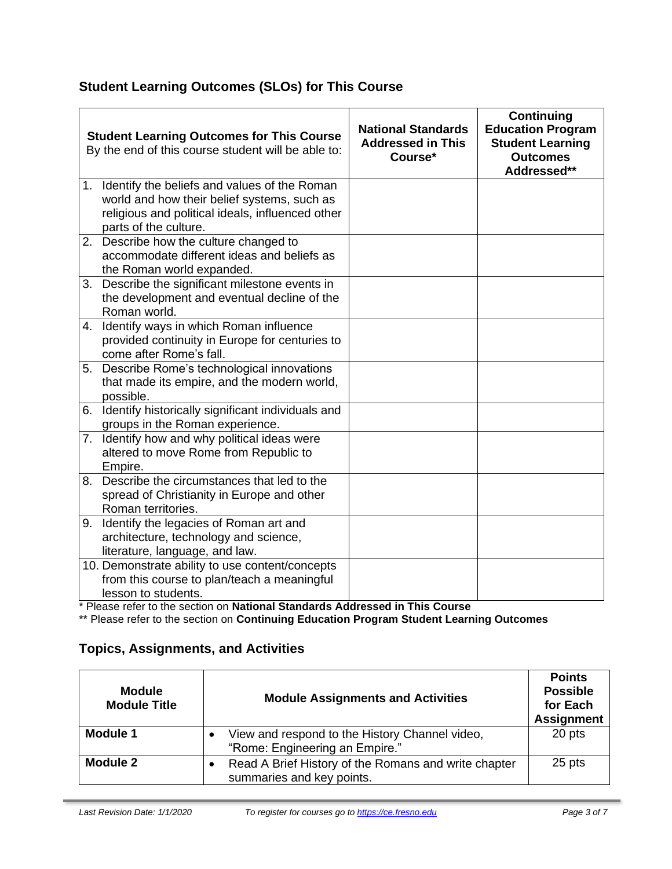# **Student Learning Outcomes (SLOs) for This Course**

|    | <b>Student Learning Outcomes for This Course</b><br>By the end of this course student will be able to:                                                                      | <b>National Standards</b><br><b>Addressed in This</b><br>Course* | <b>Continuing</b><br><b>Education Program</b><br><b>Student Learning</b><br><b>Outcomes</b><br>Addressed** |
|----|-----------------------------------------------------------------------------------------------------------------------------------------------------------------------------|------------------------------------------------------------------|------------------------------------------------------------------------------------------------------------|
|    | 1. Identify the beliefs and values of the Roman<br>world and how their belief systems, such as<br>religious and political ideals, influenced other<br>parts of the culture. |                                                                  |                                                                                                            |
|    | 2. Describe how the culture changed to<br>accommodate different ideas and beliefs as<br>the Roman world expanded.                                                           |                                                                  |                                                                                                            |
|    | 3. Describe the significant milestone events in<br>the development and eventual decline of the<br>Roman world.                                                              |                                                                  |                                                                                                            |
|    | 4. Identify ways in which Roman influence<br>provided continuity in Europe for centuries to<br>come after Rome's fall.                                                      |                                                                  |                                                                                                            |
|    | 5. Describe Rome's technological innovations<br>that made its empire, and the modern world,<br>possible.                                                                    |                                                                  |                                                                                                            |
| 6. | Identify historically significant individuals and<br>groups in the Roman experience.                                                                                        |                                                                  |                                                                                                            |
|    | 7. Identify how and why political ideas were<br>altered to move Rome from Republic to<br>Empire.                                                                            |                                                                  |                                                                                                            |
| 8. | Describe the circumstances that led to the<br>spread of Christianity in Europe and other<br>Roman territories.                                                              |                                                                  |                                                                                                            |
| 9. | Identify the legacies of Roman art and<br>architecture, technology and science,<br>literature, language, and law.                                                           |                                                                  |                                                                                                            |
|    | 10. Demonstrate ability to use content/concepts<br>from this course to plan/teach a meaningful<br>lesson to students.                                                       |                                                                  |                                                                                                            |

\* Please refer to the section on **National Standards Addressed in This Course**

\*\* Please refer to the section on **Continuing Education Program Student Learning Outcomes**

# **Topics, Assignments, and Activities**

| <b>Module</b><br><b>Module Title</b> | <b>Module Assignments and Activities</b>                                          | <b>Points</b><br><b>Possible</b><br>for Each<br><b>Assignment</b> |
|--------------------------------------|-----------------------------------------------------------------------------------|-------------------------------------------------------------------|
| <b>Module 1</b>                      | View and respond to the History Channel video,<br>"Rome: Engineering an Empire."  | 20 pts                                                            |
| Module 2                             | Read A Brief History of the Romans and write chapter<br>summaries and key points. | 25 pts                                                            |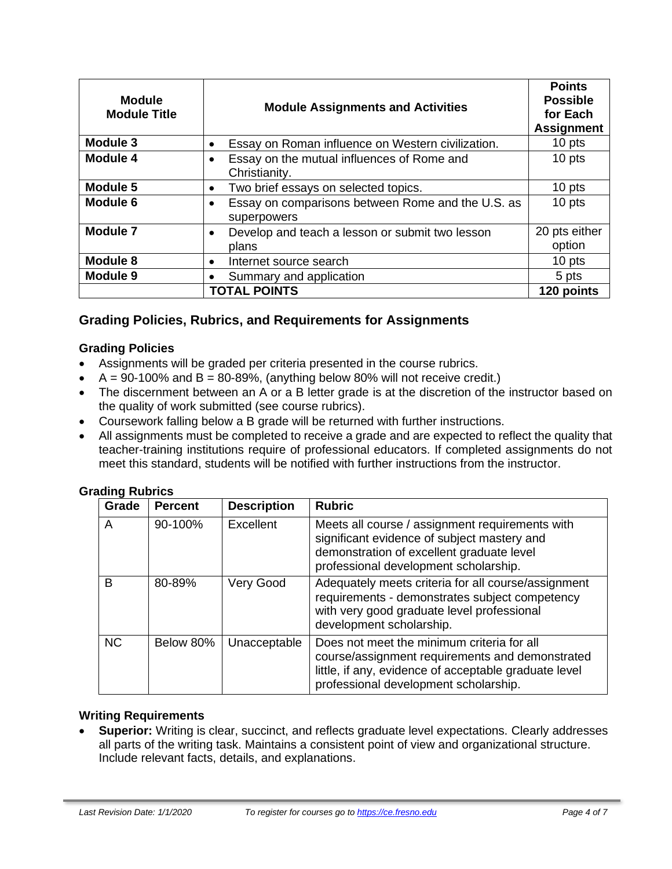| <b>Module</b><br><b>Module Title</b> | <b>Module Assignments and Activities</b>                                 | <b>Points</b><br><b>Possible</b><br>for Each<br><b>Assignment</b> |
|--------------------------------------|--------------------------------------------------------------------------|-------------------------------------------------------------------|
| Module 3                             | Essay on Roman influence on Western civilization.<br>$\bullet$           | 10 pts                                                            |
| <b>Module 4</b>                      | Essay on the mutual influences of Rome and<br>$\bullet$<br>Christianity. | 10 pts                                                            |
| Module 5                             | Two brief essays on selected topics.<br>$\bullet$                        | 10 pts                                                            |
| Module 6                             | Essay on comparisons between Rome and the U.S. as<br>superpowers         | 10 pts                                                            |
| <b>Module 7</b>                      | Develop and teach a lesson or submit two lesson<br>$\bullet$<br>plans    | 20 pts either<br>option                                           |
| Module 8                             | Internet source search<br>$\bullet$                                      | 10 pts                                                            |
| <b>Module 9</b>                      | Summary and application                                                  | 5 pts                                                             |
|                                      | <b>TOTAL POINTS</b>                                                      | 120 points                                                        |

# **Grading Policies, Rubrics, and Requirements for Assignments**

#### **Grading Policies**

- Assignments will be graded per criteria presented in the course rubrics.
- $A = 90-100\%$  and  $B = 80-89\%$ , (anything below 80% will not receive credit.)
- The discernment between an A or a B letter grade is at the discretion of the instructor based on the quality of work submitted (see course rubrics).
- Coursework falling below a B grade will be returned with further instructions.
- All assignments must be completed to receive a grade and are expected to reflect the quality that teacher-training institutions require of professional educators. If completed assignments do not meet this standard, students will be notified with further instructions from the instructor.

#### **Grading Rubrics**

| - סייכ<br>Grade | <b>Percent</b> | <b>Description</b> | <b>Rubric</b>                                                                                                                                                                                   |
|-----------------|----------------|--------------------|-------------------------------------------------------------------------------------------------------------------------------------------------------------------------------------------------|
| A               | 90-100%        | Excellent          | Meets all course / assignment requirements with<br>significant evidence of subject mastery and<br>demonstration of excellent graduate level<br>professional development scholarship.            |
| B               | 80-89%         | Very Good          | Adequately meets criteria for all course/assignment<br>requirements - demonstrates subject competency<br>with very good graduate level professional<br>development scholarship.                 |
| <b>NC</b>       | Below 80%      | Unacceptable       | Does not meet the minimum criteria for all<br>course/assignment requirements and demonstrated<br>little, if any, evidence of acceptable graduate level<br>professional development scholarship. |

#### **Writing Requirements**

• **Superior:** Writing is clear, succinct, and reflects graduate level expectations. Clearly addresses all parts of the writing task. Maintains a consistent point of view and organizational structure. Include relevant facts, details, and explanations.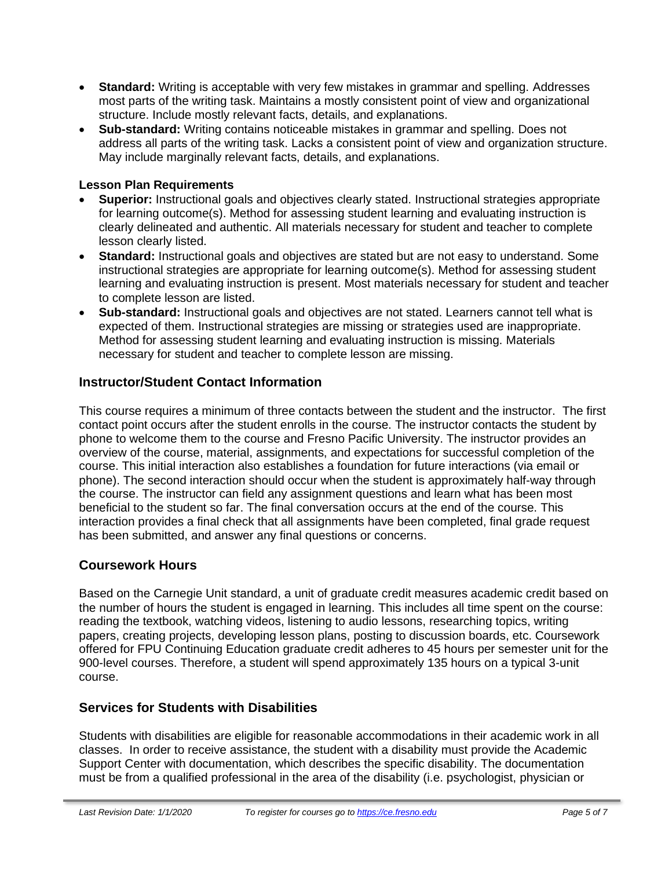- **Standard:** Writing is acceptable with very few mistakes in grammar and spelling. Addresses most parts of the writing task. Maintains a mostly consistent point of view and organizational structure. Include mostly relevant facts, details, and explanations.
- **Sub-standard:** Writing contains noticeable mistakes in grammar and spelling. Does not address all parts of the writing task. Lacks a consistent point of view and organization structure. May include marginally relevant facts, details, and explanations.

#### **Lesson Plan Requirements**

- **Superior:** Instructional goals and objectives clearly stated. Instructional strategies appropriate for learning outcome(s). Method for assessing student learning and evaluating instruction is clearly delineated and authentic. All materials necessary for student and teacher to complete lesson clearly listed.
- **Standard:** Instructional goals and objectives are stated but are not easy to understand. Some instructional strategies are appropriate for learning outcome(s). Method for assessing student learning and evaluating instruction is present. Most materials necessary for student and teacher to complete lesson are listed.
- **Sub-standard:** Instructional goals and objectives are not stated. Learners cannot tell what is expected of them. Instructional strategies are missing or strategies used are inappropriate. Method for assessing student learning and evaluating instruction is missing. Materials necessary for student and teacher to complete lesson are missing.

# **Instructor/Student Contact Information**

This course requires a minimum of three contacts between the student and the instructor. The first contact point occurs after the student enrolls in the course. The instructor contacts the student by phone to welcome them to the course and Fresno Pacific University. The instructor provides an overview of the course, material, assignments, and expectations for successful completion of the course. This initial interaction also establishes a foundation for future interactions (via email or phone). The second interaction should occur when the student is approximately half-way through the course. The instructor can field any assignment questions and learn what has been most beneficial to the student so far. The final conversation occurs at the end of the course. This interaction provides a final check that all assignments have been completed, final grade request has been submitted, and answer any final questions or concerns.

# **Coursework Hours**

Based on the Carnegie Unit standard, a unit of graduate credit measures academic credit based on the number of hours the student is engaged in learning. This includes all time spent on the course: reading the textbook, watching videos, listening to audio lessons, researching topics, writing papers, creating projects, developing lesson plans, posting to discussion boards, etc. Coursework offered for FPU Continuing Education graduate credit adheres to 45 hours per semester unit for the 900-level courses. Therefore, a student will spend approximately 135 hours on a typical 3-unit course.

# **Services for Students with Disabilities**

Students with disabilities are eligible for reasonable accommodations in their academic work in all classes. In order to receive assistance, the student with a disability must provide the Academic Support Center with documentation, which describes the specific disability. The documentation must be from a qualified professional in the area of the disability (i.e. psychologist, physician or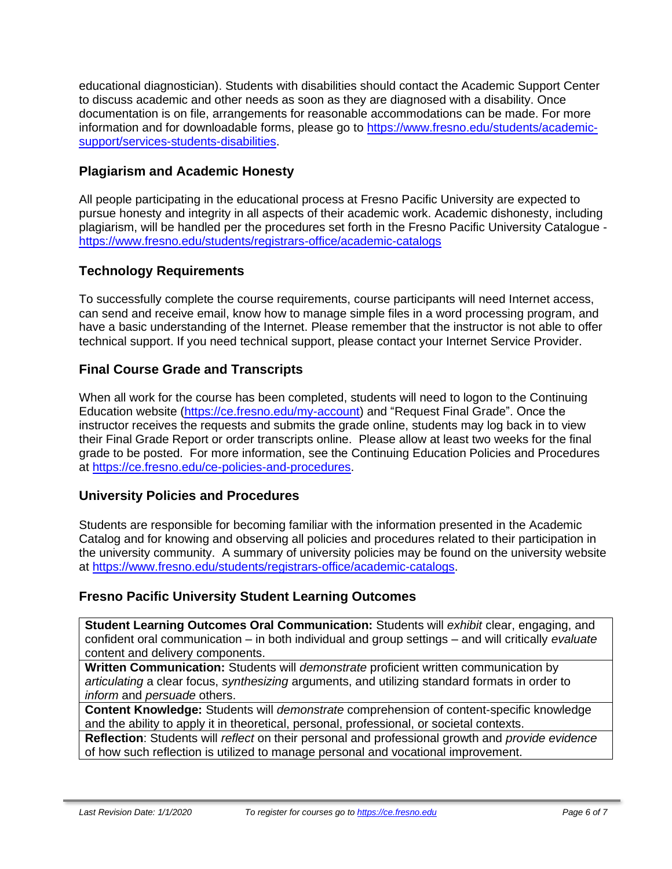educational diagnostician). Students with disabilities should contact the Academic Support Center to discuss academic and other needs as soon as they are diagnosed with a disability. Once documentation is on file, arrangements for reasonable accommodations can be made. For more information and for downloadable forms, please go to [https://www.fresno.edu/students/academic](https://www.fresno.edu/students/academic-support/services-students-disabilities)[support/services-students-disabilities.](https://www.fresno.edu/students/academic-support/services-students-disabilities)

# **Plagiarism and Academic Honesty**

All people participating in the educational process at Fresno Pacific University are expected to pursue honesty and integrity in all aspects of their academic work. Academic dishonesty, including plagiarism, will be handled per the procedures set forth in the Fresno Pacific University Catalogue <https://www.fresno.edu/students/registrars-office/academic-catalogs>

# **Technology Requirements**

To successfully complete the course requirements, course participants will need Internet access, can send and receive email, know how to manage simple files in a word processing program, and have a basic understanding of the Internet. Please remember that the instructor is not able to offer technical support. If you need technical support, please contact your Internet Service Provider.

# **Final Course Grade and Transcripts**

When all work for the course has been completed, students will need to logon to the Continuing Education website [\(https://ce.fresno.edu/my-account\)](https://ce.fresno.edu/my-account) and "Request Final Grade". Once the instructor receives the requests and submits the grade online, students may log back in to view their Final Grade Report or order transcripts online. Please allow at least two weeks for the final grade to be posted. For more information, see the Continuing Education Policies and Procedures at [https://ce.fresno.edu/ce-policies-and-procedures.](https://ce.fresno.edu/ce-policies-and-procedures)

# **University Policies and Procedures**

Students are responsible for becoming familiar with the information presented in the Academic Catalog and for knowing and observing all policies and procedures related to their participation in the university community. A summary of university policies may be found on the university website at [https://www.fresno.edu/students/registrars-office/academic-catalogs.](https://www.fresno.edu/students/registrars-office/academic-catalogs)

# **Fresno Pacific University Student Learning Outcomes**

**Student Learning Outcomes Oral Communication:** Students will *exhibit* clear, engaging, and confident oral communication – in both individual and group settings – and will critically *evaluate*  content and delivery components.

**Written Communication:** Students will *demonstrate* proficient written communication by *articulating* a clear focus, *synthesizing* arguments, and utilizing standard formats in order to *inform* and *persuade* others.

**Content Knowledge:** Students will *demonstrate* comprehension of content-specific knowledge and the ability to apply it in theoretical, personal, professional, or societal contexts.

**Reflection**: Students will *reflect* on their personal and professional growth and *provide evidence*  of how such reflection is utilized to manage personal and vocational improvement.